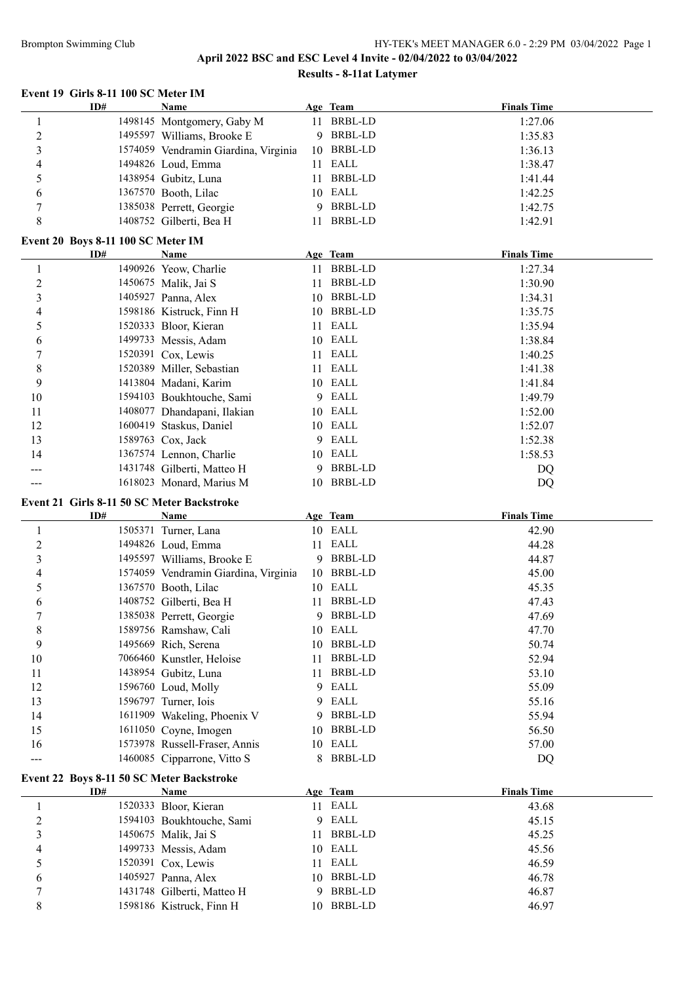# Brompton Swimming Club HY-TEK's MEET MANAGER 6.0 - 2:29 PM 03/04/2022 Page 1

# **April 2022 BSC and ESC Level 4 Invite - 02/04/2022 to 03/04/2022 Results - 8-11at Latymer**

#### **Event 19 Girls 8-11 100 SC Meter IM**

|                                    | ID# | <b>Name</b>                                         |    | Age Team       | <b>Finals Time</b> |  |
|------------------------------------|-----|-----------------------------------------------------|----|----------------|--------------------|--|
| $\mathbf{1}$                       |     | 1498145 Montgomery, Gaby M                          | 11 | <b>BRBL-LD</b> | 1:27.06            |  |
| $\overline{c}$                     |     | 1495597 Williams, Brooke E                          | 9  | BRBL-LD        | 1:35.83            |  |
| 3                                  |     | 1574059 Vendramin Giardina, Virginia                | 10 | BRBL-LD        | 1:36.13            |  |
| 4                                  |     | 1494826 Loud, Emma                                  | 11 | EALL           | 1:38.47            |  |
| 5                                  |     | 1438954 Gubitz, Luna                                | 11 | <b>BRBL-LD</b> | 1:41.44            |  |
| 6                                  |     | 1367570 Booth, Lilac                                | 10 | EALL           | 1:42.25            |  |
| 7                                  |     | 1385038 Perrett, Georgie                            | 9  | <b>BRBL-LD</b> | 1:42.75            |  |
| 8                                  |     |                                                     |    | BRBL-LD        |                    |  |
|                                    |     | 1408752 Gilberti, Bea H                             | 11 |                | 1:42.91            |  |
| Event 20 Boys 8-11 100 SC Meter IM |     |                                                     |    |                |                    |  |
|                                    | ID# | <b>Name</b>                                         |    | Age Team       | <b>Finals Time</b> |  |
| $\mathbf{1}$                       |     | 1490926 Yeow, Charlie                               |    | 11 BRBL-LD     | 1:27.34            |  |
| $\overline{c}$                     |     | 1450675 Malik, Jai S                                | 11 | BRBL-LD        | 1:30.90            |  |
| 3                                  |     | 1405927 Panna, Alex                                 |    | 10 BRBL-LD     | 1:34.31            |  |
| 4                                  |     | 1598186 Kistruck, Finn H                            |    | 10 BRBL-LD     | 1:35.75            |  |
| 5                                  |     | 1520333 Bloor, Kieran                               |    | 11 EALL        | 1:35.94            |  |
| 6                                  |     | 1499733 Messis, Adam                                |    | 10 EALL        | 1:38.84            |  |
| 7                                  |     | 1520391 Cox, Lewis                                  |    | 11 EALL        | 1:40.25            |  |
| 8                                  |     | 1520389 Miller, Sebastian                           |    | 11 EALL        | 1:41.38            |  |
| 9                                  |     | 1413804 Madani, Karim                               |    | 10 EALL        | 1:41.84            |  |
| $10\,$                             |     | 1594103 Boukhtouche, Sami                           |    | 9 EALL         | 1:49.79            |  |
| 11                                 |     | 1408077 Dhandapani, Ilakian                         |    | 10 EALL        | 1:52.00            |  |
| 12                                 |     | 1600419 Staskus, Daniel                             |    | 10 EALL        | 1:52.07            |  |
| 13                                 |     | 1589763 Cox, Jack                                   |    | 9 EALL         | 1:52.38            |  |
| 14                                 |     | 1367574 Lennon, Charlie                             |    | 10 EALL        | 1:58.53            |  |
|                                    |     | 1431748 Gilberti, Matteo H                          | 9  | BRBL-LD        | DQ                 |  |
|                                    |     | 1618023 Monard, Marius M                            | 10 | BRBL-LD        |                    |  |
|                                    |     |                                                     |    |                | DQ                 |  |
|                                    |     |                                                     |    |                |                    |  |
|                                    |     | Event 21 Girls 8-11 50 SC Meter Backstroke          |    |                |                    |  |
|                                    | ID# | <b>Name</b>                                         |    | Age Team       | <b>Finals Time</b> |  |
| $\mathbf{1}$                       |     | 1505371 Turner, Lana                                |    | 10 EALL        | 42.90              |  |
| $\boldsymbol{2}$                   |     | 1494826 Loud, Emma                                  |    | 11 EALL        | 44.28              |  |
| 3                                  |     | 1495597 Williams, Brooke E                          | 9  | BRBL-LD        | 44.87              |  |
| 4                                  |     | 1574059 Vendramin Giardina, Virginia                |    | 10 BRBL-LD     | 45.00              |  |
| 5                                  |     | 1367570 Booth, Lilac                                | 10 | EALL           | 45.35              |  |
|                                    |     |                                                     | 11 | <b>BRBL-LD</b> |                    |  |
| 6                                  |     | 1408752 Gilberti, Bea H<br>1385038 Perrett, Georgie | 9  | <b>BRBL-LD</b> | 47.43              |  |
| 7                                  |     |                                                     |    |                | 47.69              |  |
| $\,$ $\,$                          |     | 1589756 Ramshaw, Cali                               | 10 | EALL           | 47.70              |  |
| 9                                  |     | 1495669 Rich, Serena                                | 10 | <b>BRBL-LD</b> | 50.74              |  |
| 10                                 |     | 7066460 Kunstler, Heloise                           | 11 | <b>BRBL-LD</b> | 52.94              |  |
| 11                                 |     | 1438954 Gubitz, Luna                                | 11 | <b>BRBL-LD</b> | 53.10              |  |
| 12                                 |     | 1596760 Loud, Molly                                 | 9  | EALL           | 55.09              |  |
| 13                                 |     | 1596797 Turner, Iois                                | 9  | EALL           | 55.16              |  |
| 14                                 |     | 1611909 Wakeling, Phoenix V                         | 9  | <b>BRBL-LD</b> | 55.94              |  |
| 15                                 |     | 1611050 Coyne, Imogen                               | 10 | <b>BRBL-LD</b> | 56.50              |  |
| 16                                 |     | 1573978 Russell-Fraser, Annis                       | 10 | EALL           | 57.00              |  |
| ---                                |     | 1460085 Cipparrone, Vitto S                         | 8  | <b>BRBL-LD</b> | DQ                 |  |
|                                    |     | Event 22 Boys 8-11 50 SC Meter Backstroke           |    |                |                    |  |
|                                    | ID# | <b>Name</b>                                         |    | Age Team       | <b>Finals Time</b> |  |
| 1                                  |     | 1520333 Bloor, Kieran                               |    | 11 EALL        | 43.68              |  |
| $\overline{c}$                     |     | 1594103 Boukhtouche, Sami                           | 9  | EALL           | 45.15              |  |
| 3                                  |     | 1450675 Malik, Jai S                                | 11 | <b>BRBL-LD</b> | 45.25              |  |
| 4                                  |     | 1499733 Messis, Adam                                | 10 | EALL           | 45.56              |  |
| 5                                  |     | 1520391 Cox, Lewis                                  | 11 | EALL           | 46.59              |  |
| 6                                  |     | 1405927 Panna, Alex                                 | 10 | <b>BRBL-LD</b> | 46.78              |  |
| 7                                  |     | 1431748 Gilberti, Matteo H                          | 9  | BRBL-LD        | 46.87              |  |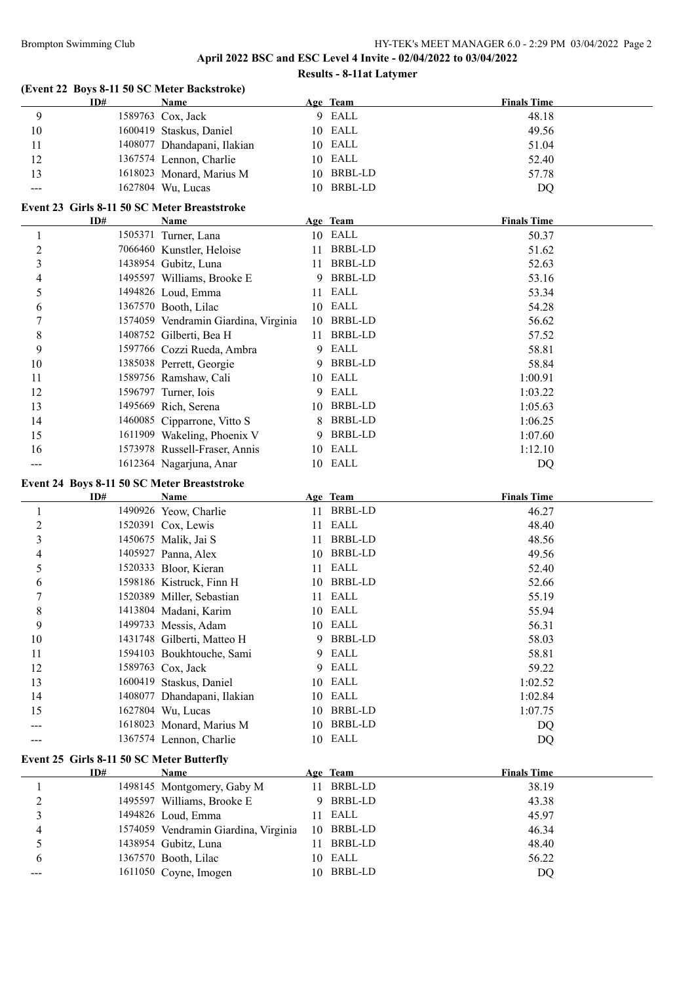# **April 2022 BSC and ESC Level 4 Invite - 02/04/2022 to 03/04/2022 Results - 8-11at Latymer**

|                              |                                                  | (Event 22 Boys 8-11 50 SC Meter Backstroke)   |    |                    |                    |
|------------------------------|--------------------------------------------------|-----------------------------------------------|----|--------------------|--------------------|
|                              | ID#                                              | Name                                          |    | Age Team           | <b>Finals Time</b> |
| 9                            |                                                  | 1589763 Cox, Jack                             |    | 9 EALL             | 48.18              |
| 10                           |                                                  | 1600419 Staskus, Daniel                       |    | 10 EALL            | 49.56              |
| 11                           |                                                  | 1408077 Dhandapani, Ilakian                   |    | 10 EALL            | 51.04              |
| 12                           |                                                  | 1367574 Lennon, Charlie                       |    | 10 EALL            | 52.40              |
| 13                           |                                                  | 1618023 Monard, Marius M                      |    | 10 BRBL-LD         | 57.78              |
|                              |                                                  | 1627804 Wu, Lucas                             |    | 10 BRBL-LD         | DQ                 |
|                              |                                                  | Event 23 Girls 8-11 50 SC Meter Breaststroke  |    |                    |                    |
|                              | ID#                                              | Name                                          |    | Age Team           | <b>Finals Time</b> |
| $\mathbf{1}$                 |                                                  | 1505371 Turner, Lana                          |    | 10 EALL            | 50.37              |
| $\overline{2}$               |                                                  | 7066460 Kunstler, Heloise                     |    | 11 BRBL-LD         | 51.62              |
| 3                            |                                                  | 1438954 Gubitz, Luna                          |    | 11 BRBL-LD         | 52.63              |
| 4                            |                                                  | 1495597 Williams, Brooke E                    | 9  | BRBL-LD            | 53.16              |
| 5                            |                                                  | 1494826 Loud, Emma                            | 11 | EALL               | 53.34              |
| 6                            |                                                  | 1367570 Booth, Lilac                          |    | 10 EALL            | 54.28              |
| 7                            |                                                  | 1574059 Vendramin Giardina, Virginia          | 10 | BRBL-LD            | 56.62              |
| 8                            |                                                  | 1408752 Gilberti, Bea H                       | 11 | BRBL-LD            | 57.52              |
| 9                            |                                                  | 1597766 Cozzi Rueda, Ambra                    | 9  | EALL               | 58.81              |
| 10                           |                                                  | 1385038 Perrett, Georgie                      | 9  | <b>BRBL-LD</b>     | 58.84              |
| 11                           |                                                  | 1589756 Ramshaw, Cali                         |    | 10 EALL            | 1:00.91            |
| 12                           |                                                  | 1596797 Turner, Iois                          | 9  | EALL               | 1:03.22            |
| 13                           |                                                  | 1495669 Rich, Serena                          |    | 10 BRBL-LD         | 1:05.63            |
| 14                           |                                                  | 1460085 Cipparrone, Vitto S                   | 8  | BRBL-LD            | 1:06.25            |
| 15                           |                                                  | 1611909 Wakeling, Phoenix V                   | 9  | <b>BRBL-LD</b>     | 1:07.60            |
| 16                           |                                                  | 1573978 Russell-Fraser, Annis                 |    | 10 EALL            | 1:12.10            |
|                              |                                                  | 1612364 Nagarjuna, Anar                       |    | 10 EALL            | DQ                 |
|                              | Event 24 Boys 8-11 50 SC Meter Breaststroke      |                                               |    |                    |                    |
|                              | ID#                                              | <b>Name</b>                                   |    | Age Team           | <b>Finals Time</b> |
| $\mathbf{1}$                 |                                                  | 1490926 Yeow, Charlie                         |    | 11 BRBL-LD         | 46.27              |
| $\overline{c}$               |                                                  | 1520391 Cox, Lewis                            |    | 11 EALL            | 48.40              |
| 3                            |                                                  | 1450675 Malik, Jai S                          |    | 11 BRBL-LD         | 48.56              |
| 4                            |                                                  | 1405927 Panna, Alex                           |    | 10 BRBL-LD         | 49.56              |
| 5                            |                                                  | 1520333 Bloor, Kieran                         |    | 11 EALL            | 52.40              |
| 6                            |                                                  | 1598186 Kistruck, Finn H                      |    | 10 BRBL-LD         | 52.66              |
| 7                            |                                                  | 1520389 Miller, Sebastian                     |    | 11 EALL            | 55.19              |
| 8                            |                                                  | 1413804 Madani, Karim                         |    | 10 EALL            | 55.94              |
| 9                            |                                                  | 1499733 Messis, Adam                          |    | 10 EALL            | 56.31              |
| 10                           |                                                  | 1431748 Gilberti, Matteo H                    | 9  | <b>BRBL-LD</b>     | 58.03              |
| 11                           |                                                  | 1594103 Boukhtouche, Sami                     | 9  | EALL               | 58.81              |
| 12                           |                                                  | 1589763 Cox, Jack                             | 9  | EALL               | 59.22              |
| 13                           |                                                  | 1600419 Staskus, Daniel                       | 10 | EALL               | 1:02.52            |
| 14                           |                                                  | 1408077 Dhandapani, Ilakian                   | 10 | EALL               | 1:02.84            |
| 15                           |                                                  | 1627804 Wu, Lucas                             | 10 | <b>BRBL-LD</b>     | 1:07.75            |
| ---                          |                                                  | 1618023 Monard, Marius M                      | 10 | <b>BRBL-LD</b>     | DQ                 |
|                              |                                                  | 1367574 Lennon, Charlie                       |    | 10 EALL            | DQ                 |
|                              |                                                  |                                               |    |                    |                    |
|                              | Event 25 Girls 8-11 50 SC Meter Butterfly<br>ID# | <b>Name</b>                                   |    | Age Team           | <b>Finals Time</b> |
|                              |                                                  | 1498145 Montgomery, Gaby M                    | 11 | <b>BRBL-LD</b>     | 38.19              |
| $\mathbf{1}$                 |                                                  | 1495597 Williams, Brooke E                    | 9  | <b>BRBL-LD</b>     |                    |
| $\overline{\mathbf{c}}$<br>3 |                                                  |                                               |    | EALL               | 43.38              |
|                              |                                                  | 1494826 Loud, Emma                            | 11 | <b>BRBL-LD</b>     | 45.97              |
| 4                            |                                                  | 1574059 Vendramin Giardina, Virginia          | 10 |                    | 46.34              |
|                              |                                                  |                                               |    |                    |                    |
| 5                            |                                                  | 1438954 Gubitz, Luna                          | 11 | BRBL-LD            | 48.40              |
| 6                            |                                                  | 1367570 Booth, Lilac<br>1611050 Coyne, Imogen | 10 | EALL<br>10 BRBL-LD | 56.22<br>DQ        |